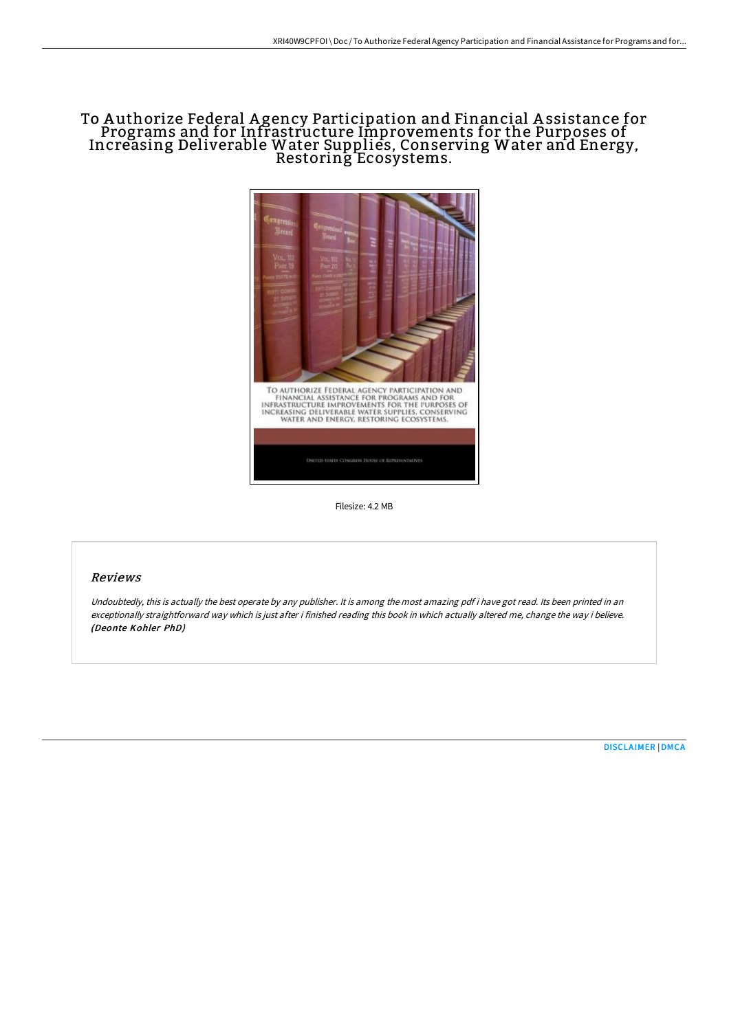# To A uthorize Federal A gency Participation and Financial A ssistance for Programs and for Infrastructure Improvements for the Purposes of Increasing Deliverable Water Supplies, Conserving Water and Energy, Restoring Ecosystems.



Filesize: 4.2 MB

## Reviews

Undoubtedly, this is actually the best operate by any publisher. It is among the most amazing pdf i have got read. Its been printed in an exceptionally straightforward way which is just after i finished reading this book in which actually altered me, change the way i believe. (Deonte Kohler PhD)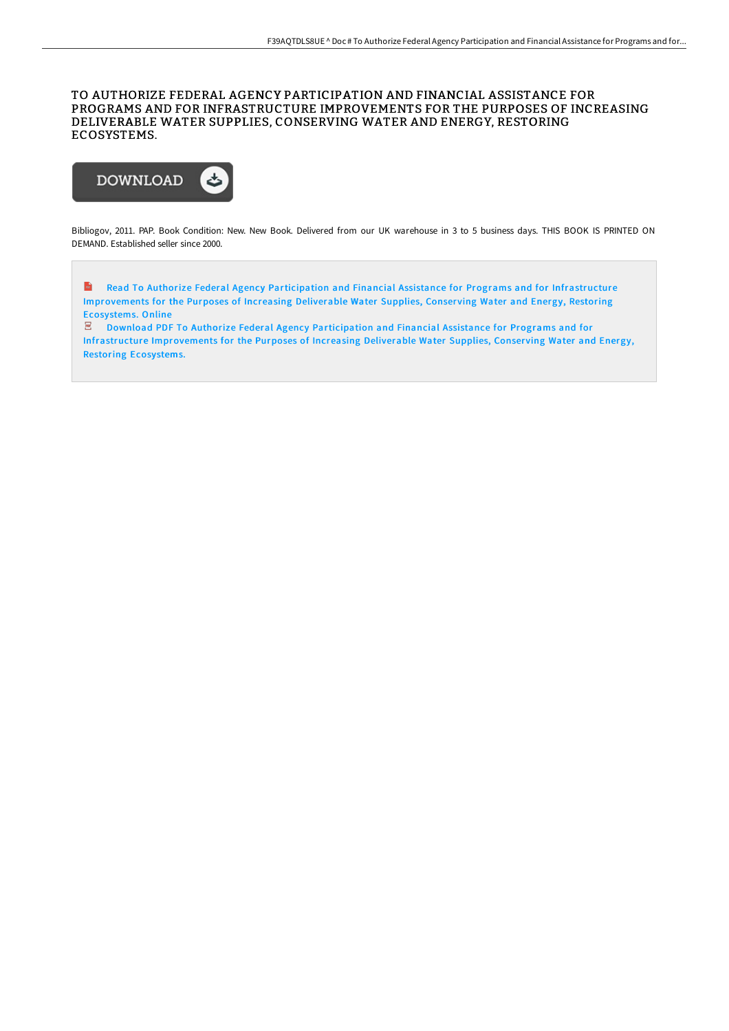### TO AUTHORIZE FEDERAL AGENCY PARTICIPATION AND FINANCIAL ASSISTANCE FOR PROGRAMS AND FOR INFRASTRUCTURE IMPROVEMENTS FOR THE PURPOSES OF INCREASING DELIVERABLE WATER SUPPLIES, CONSERVING WATER AND ENERGY, RESTORING ECOSYSTEMS.



Bibliogov, 2011. PAP. Book Condition: New. New Book. Delivered from our UK warehouse in 3 to 5 business days. THIS BOOK IS PRINTED ON DEMAND. Established seller since 2000.

 $\frac{1}{10}$ Read To Authorize Federal Agency Participation and Financial Assistance for Programs and for Infrastructure [Improvements](http://bookera.tech/to-authorize-federal-agency-participation-and-fi.html) for the Purposes of Increasing Deliverable Water Supplies, Conserving Water and Energy, Restoring Ecosystems. Online

 $\mathbb E$  Download PDF To Authorize Federal Agency Participation and Financial Assistance for Programs and for Infrastructure [Improvements](http://bookera.tech/to-authorize-federal-agency-participation-and-fi.html) for the Purposes of Increasing Deliverable Water Supplies, Conserving Water and Energy, Restoring Ecosystems.